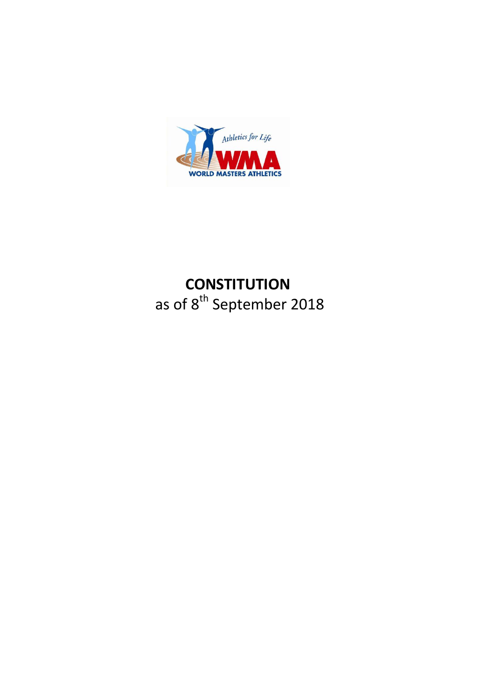

# **CONSTITUTION** as of 8<sup>th</sup> September 2018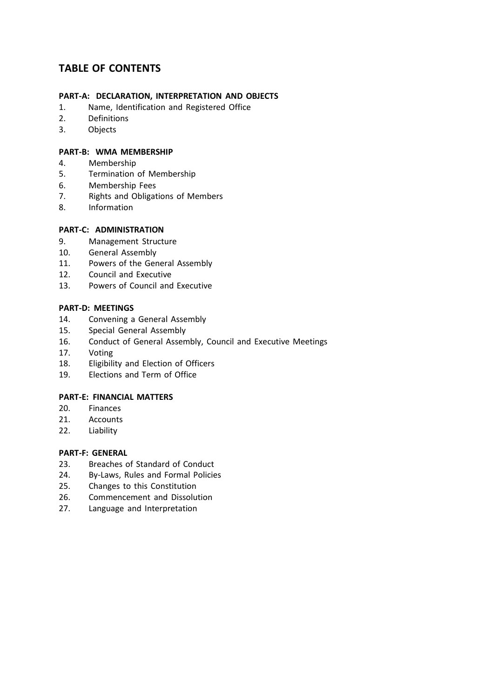## **TABLE OF CONTENTS**

## **PART-A: DECLARATION, INTERPRETATION AND OBJECTS**

- 1. Name, Identification and Registered Office
- 2. Definitions
- 3. Objects

#### **PART-B: WMA MEMBERSHIP**

- 4. Membership
- 5. Termination of Membership
- 6. Membership Fees<br>7. Rights and Obligat
- Rights and Obligations of Members
- 8. Information

#### **PART-C: ADMINISTRATION**

- 9. Management Structure<br>10. General Assembly
- General Assembly
- 11. Powers of the General Assembly
- 12. Council and Executive
- 13. Powers of Council and Executive

#### **PART-D: MEETINGS**

- 14. Convening a General Assembly
- 15. Special General Assembly
- 16. Conduct of General Assembly, Council and Executive Meetings
- 17. Voting
- 18. Eligibility and Election of Officers
- 19. Elections and Term of Office

#### **PART-E: FINANCIAL MATTERS**

- 20. Finances
- 21. Accounts
- 22. Liability

#### **PART-F: GENERAL**

- 23. Breaches of Standard of Conduct
- 24. By-Laws, Rules and Formal Policies
- 25. Changes to this Constitution
- 26. Commencement and Dissolution
- 27. Language and Interpretation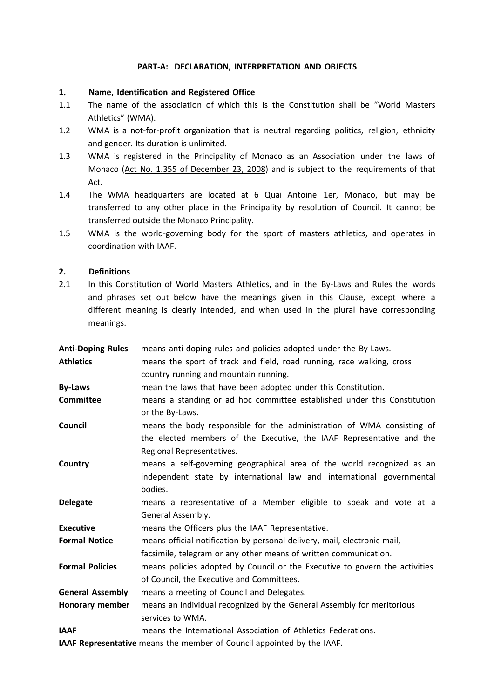#### **PART-A: DECLARATION, INTERPRETATION AND OBJECTS**

#### **1. Name, Identification and Registered Office**

- 1.1 The name of the association of which this is the Constitution shall be "World Masters Athletics" (WMA).
- 1.2 WMA is a not-for-profit organization that is neutral regarding politics, religion, ethnicity and gender. Its duration is unlimited.
- 1.3 WMA is registered in the Principality of Monaco as an Association under the laws of Monaco (Act No. 1.355 of December 23, 2008) and is subject to the requirements of that Act.
- 1.4 The WMA headquarters are located at 6 Quai Antoine 1er, Monaco, but may be transferred to any other place in the Principality by resolution of Council. It cannot be transferred outside the Monaco Principality.
- 1.5 WMA is the world-governing body for the sport of masters athletics, and operates in coordination with IAAF.

#### **2. Definitions**

2.1 In this Constitution of World Masters Athletics, and in the By-Laws and Rules the words and phrases set out below have the meanings given in this Clause, except where a different meaning is clearly intended, and when used in the plural have corresponding meanings.

| <b>Anti-Doping Rules</b>                                               | means anti-doping rules and policies adopted under the By-Laws.                                                                                                              |
|------------------------------------------------------------------------|------------------------------------------------------------------------------------------------------------------------------------------------------------------------------|
| <b>Athletics</b>                                                       | means the sport of track and field, road running, race walking, cross                                                                                                        |
|                                                                        | country running and mountain running.                                                                                                                                        |
| <b>By-Laws</b>                                                         | mean the laws that have been adopted under this Constitution.                                                                                                                |
| <b>Committee</b>                                                       | means a standing or ad hoc committee established under this Constitution<br>or the By-Laws.                                                                                  |
| Council                                                                | means the body responsible for the administration of WMA consisting of<br>the elected members of the Executive, the IAAF Representative and the<br>Regional Representatives. |
| Country                                                                | means a self-governing geographical area of the world recognized as an<br>independent state by international law and international governmental<br>bodies.                   |
| <b>Delegate</b>                                                        | means a representative of a Member eligible to speak and vote at a<br>General Assembly.                                                                                      |
| <b>Executive</b>                                                       | means the Officers plus the IAAF Representative.                                                                                                                             |
| <b>Formal Notice</b>                                                   | means official notification by personal delivery, mail, electronic mail,<br>facsimile, telegram or any other means of written communication.                                 |
| <b>Formal Policies</b>                                                 | means policies adopted by Council or the Executive to govern the activities<br>of Council, the Executive and Committees.                                                     |
| <b>General Assembly</b>                                                | means a meeting of Council and Delegates.                                                                                                                                    |
| Honorary member                                                        | means an individual recognized by the General Assembly for meritorious<br>services to WMA.                                                                                   |
| <b>IAAF</b>                                                            | means the International Association of Athletics Federations.                                                                                                                |
| IAAF Representative means the member of Council appointed by the IAAF. |                                                                                                                                                                              |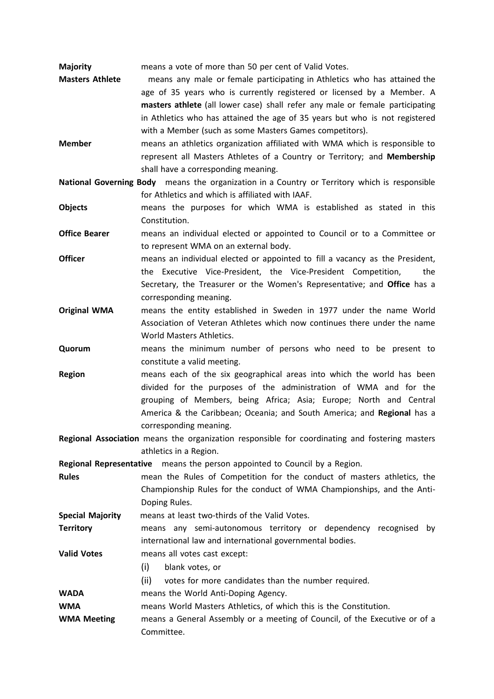**Majority** means a vote of more than 50 per cent of Valid Votes.

**Masters Athlete** means any male or female participating in Athletics who has attained the age of 35 years who is currently registered or licensed by a Member. A **masters athlete** (all lower case) shall refer any male or female participating in Athletics who has attained the age of 35 years but who is not registered with a Member (such as some Masters Games competitors).

**Member** means an athletics organization affiliated with WMA which is responsible to represent all Masters Athletes of a Country or Territory; and **Membership** shall have a corresponding meaning.

**National Governing Body** means the organization in a Country or Territory which is responsible for Athletics and which is affiliated with IAAF.

- **Objects** means the purposes for which WMA is established as stated in this Constitution.
- **Office Bearer** means an individual elected or appointed to Council or to a Committee or to represent WMA on an external body.
- **Officer** means an individual elected or appointed to fill a vacancy as the President, the Executive Vice-President, the Vice-President Competition, the Secretary, the Treasurer or the Women's Representative; and **Office** has a corresponding meaning.
- **Original WMA** means the entity established in Sweden in 1977 under the name World Association of Veteran Athletes which now continues there under the name World Masters Athletics.
- **Quorum** means the minimum number of persons who need to be present to constitute a valid meeting.
- **Region** means each of the six geographical areas into which the world has been divided for the purposes of the administration of WMA and for the grouping of Members, being Africa; Asia; Europe; North and Central America & the Caribbean; Oceania; and South America; and **Regional** has a corresponding meaning.
- **Regional Association** means the organization responsible for coordinating and fostering masters athletics in a Region.

**Regional Representative** means the person appointed to Council by a Region.

- **Rules** mean the Rules of Competition for the conduct of masters athletics, the Championship Rules for the conduct of WMA Championships, and the Anti-Doping Rules.
- **Special Majority** means at least two-thirds of the Valid Votes.
- **Territory** means any semi-autonomous territory or dependency recognised by international law and international governmental bodies.

**Valid Votes** means all votes cast except:

- (i) blank votes, or
- (ii) votes for more candidates than the number required.
- **WADA** means the World Anti-Doping Agency.

**WMA** means World Masters Athletics, of which this is the Constitution.

**WMA Meeting** means a General Assembly or a meeting of Council, of the Executive or of a Committee.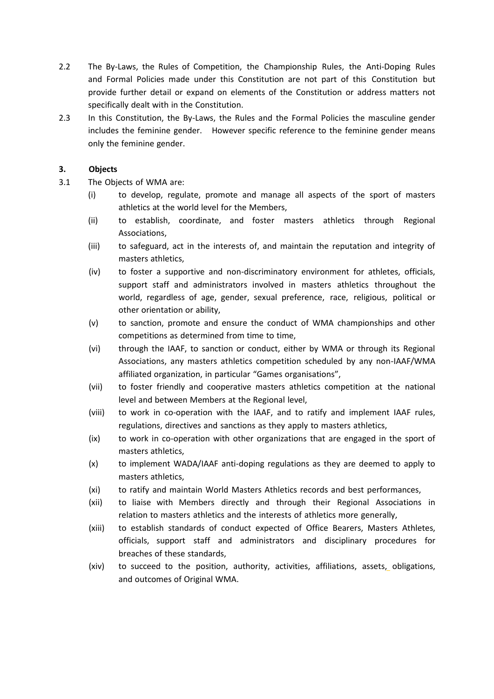- 2.2 The By-Laws, the Rules of Competition, the Championship Rules, the Anti-Doping Rules and Formal Policies made under this Constitution are not part of this Constitution but provide further detail or expand on elements of the Constitution or address matters not specifically dealt with in the Constitution.
- 2.3 In this Constitution, the By-Laws, the Rules and the Formal Policies the masculine gender includes the feminine gender. However specific reference to the feminine gender means only the feminine gender.

#### **3. Objects**

- 3.1 The Objects of WMA are:
	- (i) to develop, regulate, promote and manage all aspects of the sport of masters athletics at the world level for the Members,
	- (ii) to establish, coordinate, and foster masters athletics through Regional Associations,
	- (iii) to safeguard, act in the interests of, and maintain the reputation and integrity of masters athletics,
	- (iv) to foster a supportive and non-discriminatory environment for athletes, officials, support staff and administrators involved in masters athletics throughout the world, regardless of age, gender, sexual preference, race, religious, political or other orientation or ability,
	- (v) to sanction, promote and ensure the conduct of WMA championships and other competitions as determined from time to time,
	- (vi) through the IAAF, to sanction or conduct, either by WMA or through its Regional Associations, any masters athletics competition scheduled by any non-IAAF/WMA affiliated organization, in particular "Games organisations",
	- (vii) to foster friendly and cooperative masters athletics competition at the national level and between Members at the Regional level,
	- (viii) to work in co-operation with the IAAF, and to ratify and implement IAAF rules, regulations, directives and sanctions as they apply to masters athletics,
	- (ix) to work in co-operation with other organizations that are engaged in the sport of masters athletics,
	- (x) to implement WADA/IAAF anti-doping regulations as they are deemed to apply to masters athletics,
	- (xi) to ratify and maintain World Masters Athletics records and best performances,
	- (xii) to liaise with Members directly and through their Regional Associations in relation to masters athletics and the interests of athletics more generally,
	- (xiii) to establish standards of conduct expected of Office Bearers, Masters Athletes, officials, support staff and administrators and disciplinary procedures for breaches of these standards,
	- (xiv) to succeed to the position, authority, activities, affiliations, assets, obligations, and outcomes of Original WMA.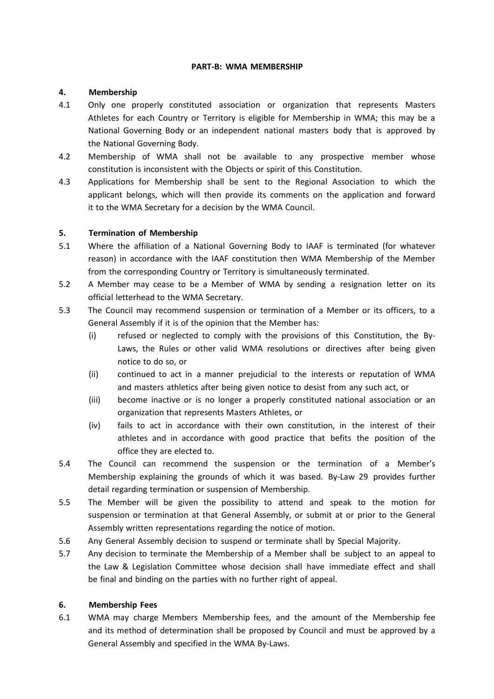#### **PART-B: WMA MEMBERSHIP**

#### **4. Membership**

- 4.1 Only one properly constituted association or organization that represents Masters Athletes for each Country or Territory is eligible for Membership in WMA; this may be a National Governing Body or an independent national masters body that is approved by the National Governing Body.
- 4.2 Membership of WMA shall not be available to any prospective member whose constitution is inconsistent with the Objects or spirit of this Constitution.
- 4.3 Applications for Membership shall be sent to the Regional Association to which the applicant belongs, which will then provide its comments on the application and forward it to the WMA Secretary for a decision by the WMA Council.

#### **5. Termination of Membership**

- 5.1 Where the affiliation of a National Governing Body to IAAF is terminated (for whatever reason) in accordance with the IAAF constitution then WMA Membership of the Member from the corresponding Country or Territory is simultaneously terminated.
- 5.2 A Member may cease to be a Member of WMA by sending a resignation letter on its official letterhead to the WMA Secretary.
- 5.3 The Council may recommend suspension or termination of a Member or its officers, to a General Assembly if it is of the opinion that the Member has:
	- (i) refused or neglected to comply with the provisions of this Constitution, the By-Laws, the Rules or other valid WMA resolutions or directives after being given notice to do so, or
	- (ii) continued to act in a manner prejudicial to the interests or reputation of WMA and masters athletics after being given notice to desist from any such act, or
	- (iii) become inactive or is no longer a properly constituted national association or an organization that represents Masters Athletes, or
	- (iv) fails to act in accordance with their own constitution, in the interest of their athletes and in accordance with good practice that befits the position of the office they are elected to.
- 5.4 The Council can recommend the suspension or the termination of a Member's Membership explaining the grounds of which it was based. By-Law 29 provides further detail regarding termination or suspension of Membership.
- 5.5 The Member will be given the possibility to attend and speak to the motion for suspension or termination at that General Assembly, or submit at or prior to the General Assembly written representations regarding the notice of motion.
- 5.6 Any General Assembly decision to suspend or terminate shall by Special Majority.
- 5.7 Any decision to terminate the Membership of a Member shall be subject to an appeal to the Law & Legislation Committee whose decision shall have immediate effect and shall be final and binding on the parties with no further right of appeal.

#### **6. Membership Fees**

6.1 WMA may charge Members Membership fees, and the amount of the Membership fee and its method of determination shall be proposed by Council and must be approved by a General Assembly and specified in the WMA By-Laws.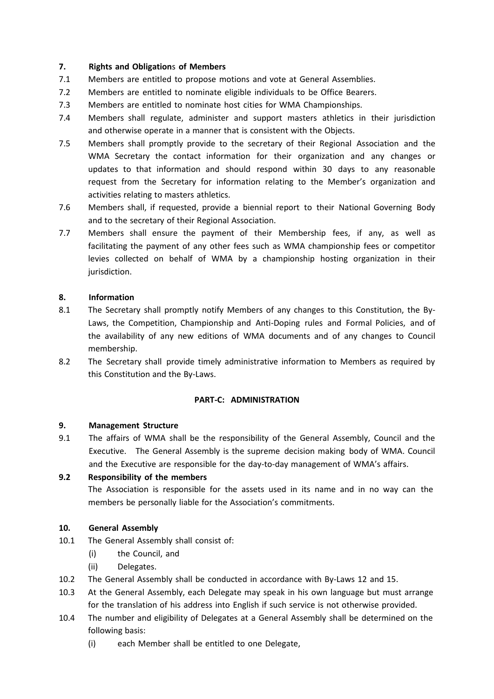#### **7. Rights and Obligation**s **of Members**

- 7.1 Members are entitled to propose motions and vote at General Assemblies.
- 7.2 Members are entitled to nominate eligible individuals to be Office Bearers.
- 7.3 Members are entitled to nominate host cities for WMA Championships.
- 7.4 Members shall regulate, administer and support masters athletics in their jurisdiction and otherwise operate in a manner that is consistent with the Objects.
- 7.5 Members shall promptly provide to the secretary of their Regional Association and the WMA Secretary the contact information for their organization and any changes or updates to that information and should respond within 30 days to any reasonable request from the Secretary for information relating to the Member's organization and activities relating to masters athletics.
- 7.6 Members shall, if requested, provide a biennial report to their National Governing Body and to the secretary of their Regional Association.
- 7.7 Members shall ensure the payment of their Membership fees, if any, as well as facilitating the payment of any other fees such as WMA championship fees or competitor levies collected on behalf of WMA by a championship hosting organization in their jurisdiction.

#### **8. Information**

- 8.1 The Secretary shall promptly notify Members of any changes to this Constitution, the By-Laws, the Competition, Championship and Anti-Doping rules and Formal Policies, and of the availability of any new editions of WMA documents and of any changes to Council membership.
- 8.2 The Secretary shall provide timely administrative information to Members as required by this Constitution and the By-Laws.

#### **PART-C: ADMINISTRATION**

#### **9. Management Structure**

9.1 The affairs of WMA shall be the responsibility of the General Assembly, Council and the Executive. The General Assembly is the supreme decision making body of WMA. Council and the Executive are responsible for the day-to-day management of WMA's affairs.

#### **9.2 Responsibility of the members**

The Association is responsible for the assets used in its name and in no way can the members be personally liable for the Association's commitments.

#### **10. General Assembly**

- 10.1 The General Assembly shall consist of:
	- (i) the Council, and
	- (ii) Delegates.
- 10.2 The General Assembly shall be conducted in accordance with By-Laws 12 and 15.
- 10.3 At the General Assembly, each Delegate may speak in his own language but must arrange for the translation of his address into English if such service is not otherwise provided.
- 10.4 The number and eligibility of Delegates at a General Assembly shall be determined on the following basis:
	- (i) each Member shall be entitled to one Delegate,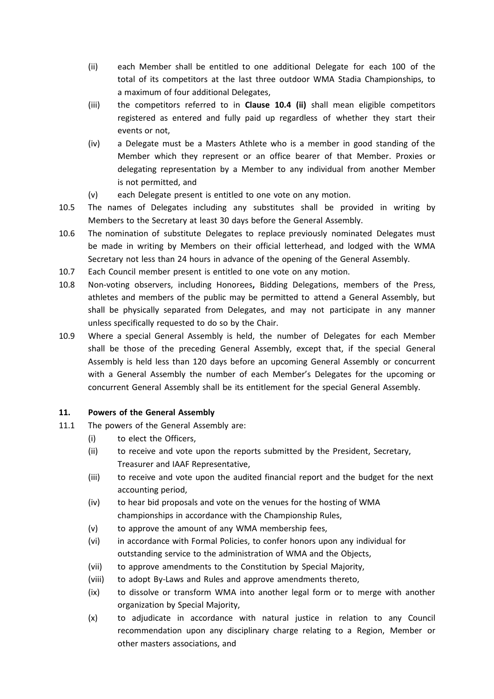- (ii) each Member shall be entitled to one additional Delegate for each 100 of the total of its competitors at the last three outdoor WMA Stadia Championships, to a maximum of four additional Delegates,
- (iii) the competitors referred to in **Clause 10.4 (ii)** shall mean eligible competitors registered as entered and fully paid up regardless of whether they start their events or not,
- (iv) a Delegate must be a Masters Athlete who is a member in good standing of the Member which they represent or an office bearer of that Member. Proxies or delegating representation by a Member to any individual from another Member is not permitted, and
- (v) each Delegate present is entitled to one vote on any motion.
- 10.5 The names of Delegates including any substitutes shall be provided in writing by Members to the Secretary at least 30 days before the General Assembly.
- 10.6 The nomination of substitute Delegates to replace previously nominated Delegates must be made in writing by Members on their official letterhead, and lodged with the WMA Secretary not less than 24 hours in advance of the opening of the General Assembly.
- 10.7 Each Council member present is entitled to one vote on any motion.
- 10.8 Non-voting observers, including Honorees**,** Bidding Delegations, members of the Press, athletes and members of the public may be permitted to attend a General Assembly, but shall be physically separated from Delegates, and may not participate in any manner unless specifically requested to do so by the Chair.
- 10.9 Where a special General Assembly is held, the number of Delegates for each Member shall be those of the preceding General Assembly, except that, if the special General Assembly is held less than 120 days before an upcoming General Assembly or concurrent with a General Assembly the number of each Member's Delegates for the upcoming or concurrent General Assembly shall be its entitlement for the special General Assembly.

#### **11. Powers of the General Assembly**

- 11.1 The powers of the General Assembly are:
	- (i) to elect the Officers,
	- (ii) to receive and vote upon the reports submitted by the President, Secretary, Treasurer and IAAF Representative,
	- (iii) to receive and vote upon the audited financial report and the budget for the next accounting period,
	- (iv) to hear bid proposals and vote on the venues for the hosting of WMA championships in accordance with the Championship Rules,
	- (v) to approve the amount of any WMA membership fees,
	- (vi) in accordance with Formal Policies, to confer honors upon any individual for outstanding service to the administration of WMA and the Objects,
	- (vii) to approve amendments to the Constitution by Special Majority,
	- (viii) to adopt By-Laws and Rules and approve amendments thereto,
	- (ix) to dissolve or transform WMA into another legal form or to merge with another organization by Special Majority,
	- (x) to adjudicate in accordance with natural justice in relation to any Council recommendation upon any disciplinary charge relating to a Region, Member or other masters associations, and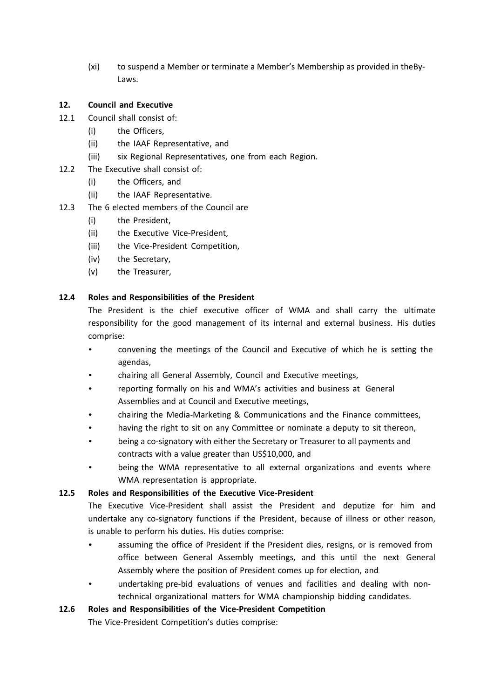(xi) to suspend a Member or terminate a Member's Membership as provided in theBy-Laws.

#### **12. Council and Executive**

- 12.1 Council shall consist of:
	- (i) the Officers,
	- (ii) the IAAF Representative, and
	- (iii) six Regional Representatives, one from each Region.
- 12.2 The Executive shall consist of:
	- (i) the Officers, and
	- (ii) the IAAF Representative.
- 12.3 The 6 elected members of the Council are
	- (i) the President,
	- (ii) the Executive Vice-President,
	- (iii) the Vice-President Competition,
	- (iv) the Secretary,
	- (v) the Treasurer,

#### **12.4 Roles and Responsibilities of the President**

The President is the chief executive officer of WMA and shall carry the ultimate responsibility for the good management of its internal and external business. His duties comprise:

- convening the meetings of the Council and Executive of which he is setting the agendas,
- chairing all General Assembly, Council and Executive meetings,
- reporting formally on his and WMA's activities and business at General Assemblies and at Council and Executive meetings,
- chairing the Media-Marketing & Communications and the Finance committees,
- having the right to sit on any Committee or nominate a deputy to sit thereon,
- being a co-signatory with either the Secretary or Treasurer to all payments and contracts with a value greater than US\$10,000, and
- being the WMA representative to all external organizations and events where WMA representation is appropriate.

#### **12.5 Roles and Responsibilities of the Executive Vice-President**

The Executive Vice-President shall assist the President and deputize for him and undertake any co-signatory functions if the President, because of illness or other reason, is unable to perform his duties. His duties comprise:

- assuming the office of President if the President dies, resigns, or is removed from office between General Assembly meetings, and this until the next General Assembly where the position of President comes up for election, and
- undertaking pre-bid evaluations of venues and facilities and dealing with nontechnical organizational matters for WMA championship bidding candidates.

#### **12.6 Roles and Responsibilities of the Vice-President Competition**

The Vice-President Competition's duties comprise: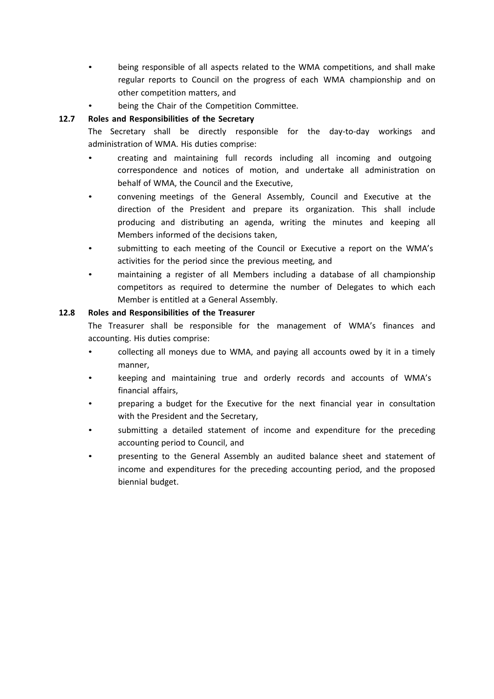- being responsible of all aspects related to the WMA competitions, and shall make regular reports to Council on the progress of each WMA championship and on other competition matters, and
- being the Chair of the Competition Committee.

## **12.7 Roles and Responsibilities of the Secretary**

The Secretary shall be directly responsible for the day-to-day workings and administration of WMA. His duties comprise:

- creating and maintaining full records including all incoming and outgoing correspondence and notices of motion, and undertake all administration on behalf of WMA, the Council and the Executive,
- convening meetings of the General Assembly, Council and Executive at the direction of the President and prepare its organization. This shall include producing and distributing an agenda, writing the minutes and keeping all Members informed of the decisions taken,
- submitting to each meeting of the Council or Executive a report on the WMA's activities for the period since the previous meeting, and
- maintaining a register of all Members including a database of all championship competitors as required to determine the number of Delegates to which each Member is entitled at a General Assembly.

## **12.8 Roles and Responsibilities of the Treasurer**

The Treasurer shall be responsible for the management of WMA's finances and accounting. His duties comprise:

- collecting all moneys due to WMA, and paying all accounts owed by it in a timely manner,
- keeping and maintaining true and orderly records and accounts of WMA's financial affairs,
- preparing a budget for the Executive for the next financial year in consultation with the President and the Secretary,
- submitting a detailed statement of income and expenditure for the preceding accounting period to Council, and
- presenting to the General Assembly an audited balance sheet and statement of income and expenditures for the preceding accounting period, and the proposed biennial budget.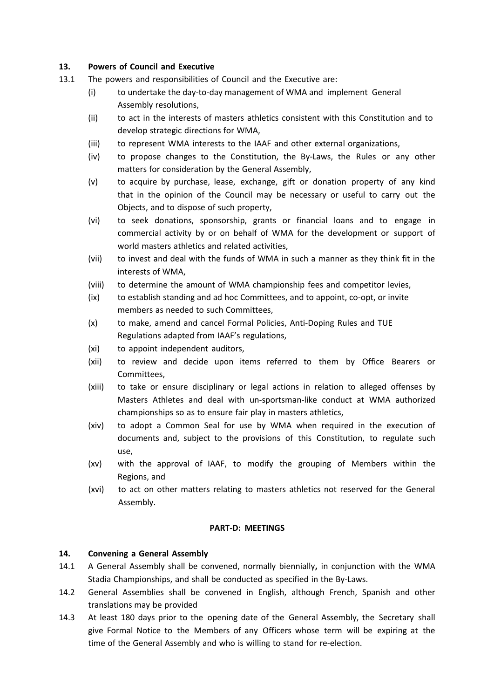#### **13. Powers of Council and Executive**

- 13.1 The powers and responsibilities of Council and the Executive are:
	- (i) to undertake the day-to-day management of WMA and implement General Assembly resolutions,
	- (ii) to act in the interests of masters athletics consistent with this Constitution and to develop strategic directions for WMA,
	- (iii) to represent WMA interests to the IAAF and other external organizations,
	- (iv) to propose changes to the Constitution, the By-Laws, the Rules or any other matters for consideration by the General Assembly,
	- (v) to acquire by purchase, lease, exchange, gift or donation property of any kind that in the opinion of the Council may be necessary or useful to carry out the Objects, and to dispose of such property,
	- (vi) to seek donations, sponsorship, grants or financial loans and to engage in commercial activity by or on behalf of WMA for the development or support of world masters athletics and related activities,
	- (vii) to invest and deal with the funds of WMA in such a manner as they think fit in the interests of WMA,
	- (viii) to determine the amount of WMA championship fees and competitor levies,
	- (ix) to establish standing and ad hoc Committees, and to appoint, co-opt, or invite members as needed to such Committees,
	- (x) to make, amend and cancel Formal Policies, Anti-Doping Rules and TUE Regulations adapted from IAAF's regulations,
	- (xi) to appoint independent auditors,
	- (xii) to review and decide upon items referred to them by Office Bearers or Committees,
	- (xiii) to take or ensure disciplinary or legal actions in relation to alleged offenses by Masters Athletes and deal with un-sportsman-like conduct at WMA authorized championships so as to ensure fair play in masters athletics,
	- (xiv) to adopt a Common Seal for use by WMA when required in the execution of documents and, subject to the provisions of this Constitution, to regulate such use,
	- (xv) with the approval of IAAF, to modify the grouping of Members within the Regions, and
	- (xvi) to act on other matters relating to masters athletics not reserved for the General Assembly.

#### **PART-D: MEETINGS**

#### **14. Convening a General Assembly**

- 14.1 A General Assembly shall be convened, normally biennially**,** in conjunction with the WMA Stadia Championships, and shall be conducted as specified in the By-Laws.
- 14.2 General Assemblies shall be convened in English, although French, Spanish and other translations may be provided
- 14.3 At least 180 days prior to the opening date of the General Assembly, the Secretary shall give Formal Notice to the Members of any Officers whose term will be expiring at the time of the General Assembly and who is willing to stand for re-election.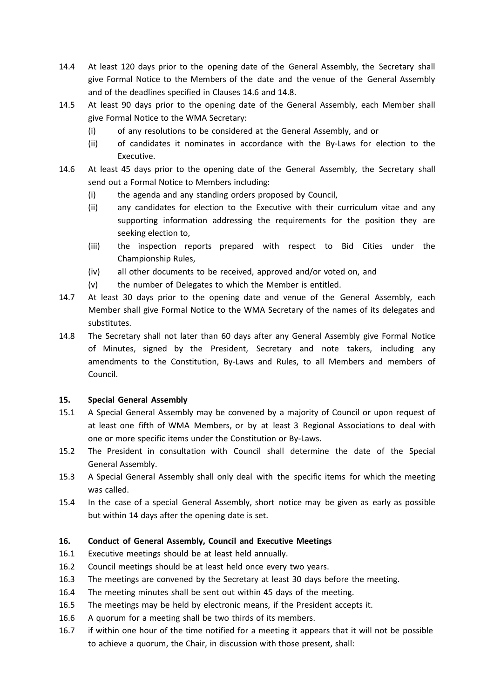- 14.4 At least 120 days prior to the opening date of the General Assembly, the Secretary shall give Formal Notice to the Members of the date and the venue of the General Assembly and of the deadlines specified in Clauses 14.6 and 14.8.
- 14.5 At least 90 days prior to the opening date of the General Assembly, each Member shall give Formal Notice to the WMA Secretary:
	- (i) of any resolutions to be considered at the General Assembly, and or
	- (ii) of candidates it nominates in accordance with the By-Laws for election to the Executive.
- 14.6 At least 45 days prior to the opening date of the General Assembly, the Secretary shall send out a Formal Notice to Members including:
	- (i) the agenda and any standing orders proposed by Council,
	- (ii) any candidates for election to the Executive with their curriculum vitae and any supporting information addressing the requirements for the position they are seeking election to,
	- (iii) the inspection reports prepared with respect to Bid Cities under the Championship Rules,
	- (iv) all other documents to be received, approved and/or voted on, and
	- (v) the number of Delegates to which the Member is entitled.
- 14.7 At least 30 days prior to the opening date and venue of the General Assembly, each Member shall give Formal Notice to the WMA Secretary of the names of its delegates and substitutes.
- 14.8 The Secretary shall not later than 60 days after any General Assembly give Formal Notice of Minutes, signed by the President, Secretary and note takers, including any amendments to the Constitution, By-Laws and Rules, to all Members and members of Council.

## **15. Special General Assembly**

- 15.1 A Special General Assembly may be convened by a majority of Council or upon request of at least one fifth of WMA Members, or by at least 3 Regional Associations to deal with one or more specific items under the Constitution or By-Laws.
- 15.2 The President in consultation with Council shall determine the date of the Special General Assembly.
- 15.3 A Special General Assembly shall only deal with the specific items for which the meeting was called.
- 15.4 In the case of a special General Assembly, short notice may be given as early as possible but within 14 days after the opening date is set.

## **16. Conduct of General Assembly, Council and Executive Meetings**

- 16.1 Executive meetings should be at least held annually.
- 16.2 Council meetings should be at least held once every two years.
- 16.3 The meetings are convened by the Secretary at least 30 days before the meeting.
- 16.4 The meeting minutes shall be sent out within 45 days of the meeting.
- 16.5 The meetings may be held by electronic means, if the President accepts it.
- 16.6 A quorum for a meeting shall be two thirds of its members.
- 16.7 if within one hour of the time notified for a meeting it appears that it will not be possible to achieve a quorum, the Chair, in discussion with those present, shall: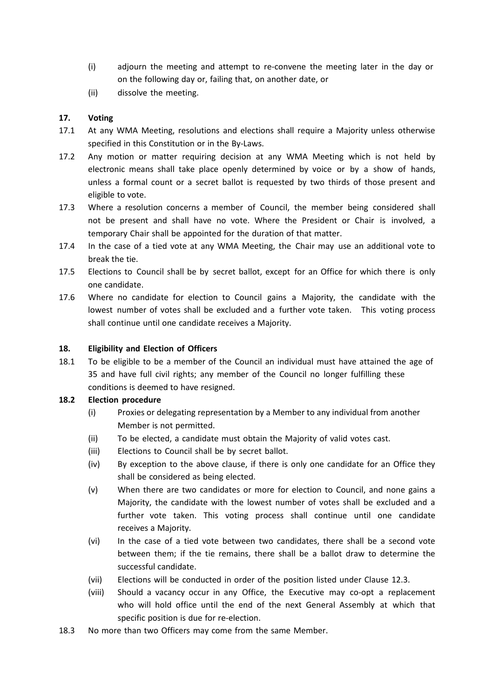- (i) adjourn the meeting and attempt to re-convene the meeting later in the day or on the following day or, failing that, on another date, or
- (ii) dissolve the meeting.

## **17. Voting**

- 17.1 At any WMA Meeting, resolutions and elections shall require a Majority unless otherwise specified in this Constitution or in the By-Laws.
- 17.2 Any motion or matter requiring decision at any WMA Meeting which is not held by electronic means shall take place openly determined by voice or by a show of hands, unless a formal count or a secret ballot is requested by two thirds of those present and eligible to vote.
- 17.3 Where a resolution concerns a member of Council, the member being considered shall not be present and shall have no vote. Where the President or Chair is involved, a temporary Chair shall be appointed for the duration of that matter.
- 17.4 In the case of a tied vote at any WMA Meeting, the Chair may use an additional vote to break the tie.
- 17.5 Elections to Council shall be by secret ballot, except for an Office for which there is only one candidate.
- 17.6 Where no candidate for election to Council gains a Majority, the candidate with the lowest number of votes shall be excluded and a further vote taken. This voting process shall continue until one candidate receives a Majority.

## **18. Eligibility and Election of Officers**

18.1 To be eligible to be a member of the Council an individual must have attained the age of 35 and have full civil rights; any member of the Council no longer fulfilling these conditions is deemed to have resigned.

## **18.2 Election procedure**

- (i) Proxies or delegating representation by a Member to any individual from another Member is not permitted.
- (ii) To be elected, a candidate must obtain the Majority of valid votes cast.
- (iii) Elections to Council shall be by secret ballot.
- (iv) By exception to the above clause, if there is only one candidate for an Office they shall be considered as being elected.
- (v) When there are two candidates or more for election to Council, and none gains a Majority, the candidate with the lowest number of votes shall be excluded and a further vote taken. This voting process shall continue until one candidate receives a Majority.
- (vi) In the case of a tied vote between two candidates, there shall be a second vote between them; if the tie remains, there shall be a ballot draw to determine the successful candidate.
- (vii) Elections will be conducted in order of the position listed under Clause 12.3.
- (viii) Should a vacancy occur in any Office, the Executive may co-opt a replacement who will hold office until the end of the next General Assembly at which that specific position is due for re-election.
- 18.3 No more than two Officers may come from the same Member.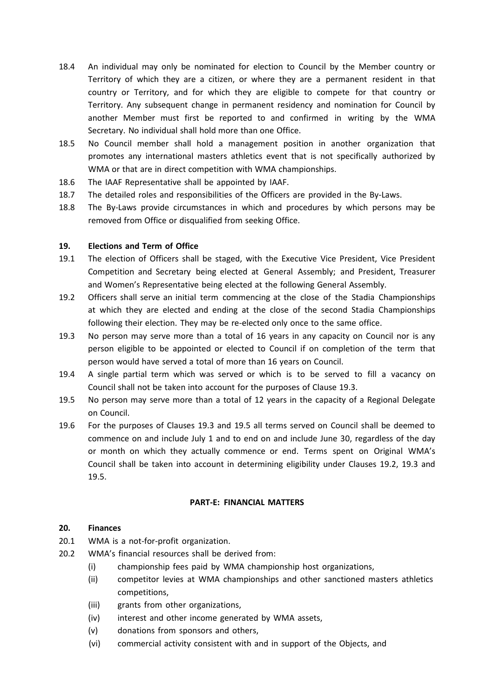- 18.4 An individual may only be nominated for election to Council by the Member country or Territory of which they are a citizen, or where they are a permanent resident in that country or Territory, and for which they are eligible to compete for that country or Territory. Any subsequent change in permanent residency and nomination for Council by another Member must first be reported to and confirmed in writing by the WMA Secretary. No individual shall hold more than one Office.
- 18.5 No Council member shall hold a management position in another organization that promotes any international masters athletics event that is not specifically authorized by WMA or that are in direct competition with WMA championships.
- 18.6 The IAAF Representative shall be appointed by IAAF.
- 18.7 The detailed roles and responsibilities of the Officers are provided in the By-Laws.
- 18.8 The By-Laws provide circumstances in which and procedures by which persons may be removed from Office or disqualified from seeking Office.

## **19. Elections and Term of Office**

- 19.1 The election of Officers shall be staged, with the Executive Vice President, Vice President Competition and Secretary being elected at General Assembly; and President, Treasurer and Women's Representative being elected at the following General Assembly.
- 19.2 Officers shall serve an initial term commencing at the close of the Stadia Championships at which they are elected and ending at the close of the second Stadia Championships following their election. They may be re-elected only once to the same office.
- 19.3 No person may serve more than a total of 16 years in any capacity on Council nor is any person eligible to be appointed or elected to Council if on completion of the term that person would have served a total of more than 16 years on Council.
- 19.4 A single partial term which was served or which is to be served to fill a vacancy on Council shall not be taken into account for the purposes of Clause 19.3.
- 19.5 No person may serve more than a total of 12 years in the capacity of a Regional Delegate on Council.
- 19.6 For the purposes of Clauses 19.3 and 19.5 all terms served on Council shall be deemed to commence on and include July 1 and to end on and include June 30, regardless of the day or month on which they actually commence or end. Terms spent on Original WMA's Council shall be taken into account in determining eligibility under Clauses 19.2, 19.3 and 19.5.

## **PART-E: FINANCIAL MATTERS**

## **20. Finances**

- 20.1 WMA is a not-for-profit organization.
- 20.2 WMA's financial resources shall be derived from:
	- (i) championship fees paid by WMA championship host organizations,
	- (ii) competitor levies at WMA championships and other sanctioned masters athletics competitions,
	- (iii) grants from other organizations,
	- (iv) interest and other income generated by WMA assets,
	- (v) donations from sponsors and others,
	- (vi) commercial activity consistent with and in support of the Objects, and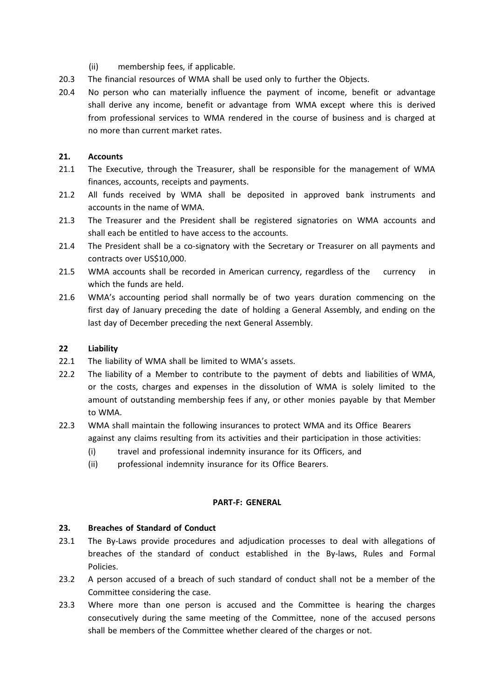- (ii) membership fees, if applicable.
- 20.3 The financial resources of WMA shall be used only to further the Objects.
- 20.4 No person who can materially influence the payment of income, benefit or advantage shall derive any income, benefit or advantage from WMA except where this is derived from professional services to WMA rendered in the course of business and is charged at no more than current market rates.

#### **21. Accounts**

- 21.1 The Executive, through the Treasurer, shall be responsible for the management of WMA finances, accounts, receipts and payments.
- 21.2 All funds received by WMA shall be deposited in approved bank instruments and accounts in the name of WMA.
- 21.3 The Treasurer and the President shall be registered signatories on WMA accounts and shall each be entitled to have access to the accounts.
- 21.4 The President shall be a co-signatory with the Secretary or Treasurer on all payments and contracts over US\$10,000.
- 21.5 WMA accounts shall be recorded in American currency, regardless of the currency in which the funds are held.
- 21.6 WMA's accounting period shall normally be of two years duration commencing on the first day of January preceding the date of holding a General Assembly, and ending on the last day of December preceding the next General Assembly.

#### **22 Liability**

- 22.1 The liability of WMA shall be limited to WMA's assets.
- 22.2 The liability of a Member to contribute to the payment of debts and liabilities of WMA, or the costs, charges and expenses in the dissolution of WMA is solely limited to the amount of outstanding membership fees if any, or other monies payable by that Member to WMA.
- 22.3 WMA shall maintain the following insurances to protect WMA and its Office Bearers against any claims resulting from its activities and their participation in those activities:
	- (i) travel and professional indemnity insurance for its Officers, and
	- (ii) professional indemnity insurance for its Office Bearers.

#### **PART-F: GENERAL**

#### **23. Breaches of Standard of Conduct**

- 23.1 The By-Laws provide procedures and adjudication processes to deal with allegations of breaches of the standard of conduct established in the By-laws, Rules and Formal Policies.
- 23.2 A person accused of a breach of such standard of conduct shall not be a member of the Committee considering the case.
- 23.3 Where more than one person is accused and the Committee is hearing the charges consecutively during the same meeting of the Committee, none of the accused persons shall be members of the Committee whether cleared of the charges or not.